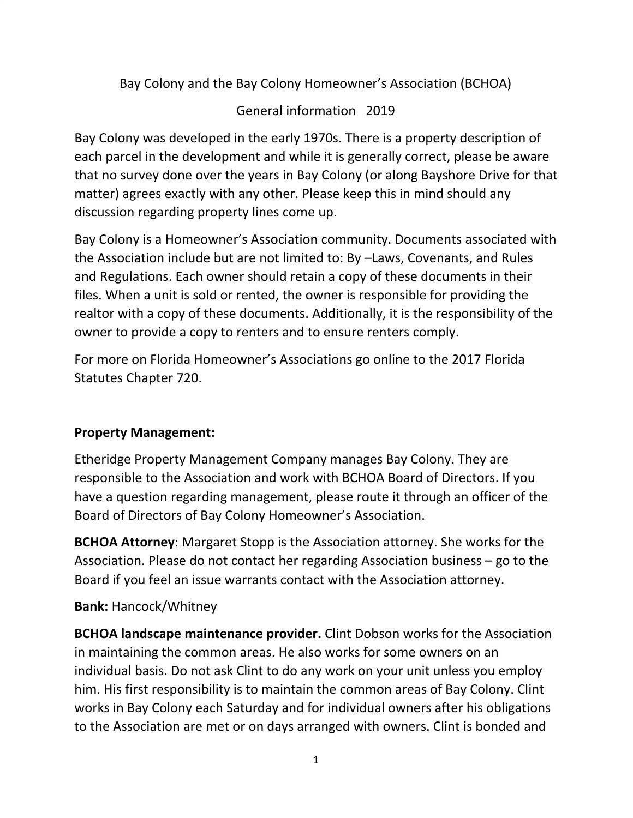Bay Colony and the Bay Colony Homeowner's Association (BCHOA)

# General information 2019

Bay Colony was developed in the early 1970s. There is a property description of each parcel in the development and while it is generally correct, please be aware that no survey done over the years in Bay Colony (or along Bayshore Drive for that matter) agrees exactly with any other. Please keep this in mind should any discussion regarding property lines come up.

Bay Colony is a Homeowner's Association community. Documents associated with the Association include but are not limited to: By –Laws, Covenants, and Rules and Regulations. Each owner should retain a copy of these documents in their files. When a unit is sold or rented, the owner is responsible for providing the realtor with a copy of these documents. Additionally, it is the responsibility of the owner to provide a copy to renters and to ensure renters comply.

For more on Florida Homeowner's Associations go online to the 2017 Florida Statutes Chapter 720.

## **Property Management:**

Etheridge Property Management Company manages Bay Colony. They are responsible to the Association and work with BCHOA Board of Directors. If you have a question regarding management, please route it through an officer of the Board of Directors of Bay Colony Homeowner's Association.

**BCHOA Attorney**: Margaret Stopp is the Association attorney. She works for the Association. Please do not contact her regarding Association business – go to the Board if you feel an issue warrants contact with the Association attorney.

## **Bank:** Hancock/Whitney

**BCHOA landscape maintenance provider.** Clint Dobson works for the Association in maintaining the common areas. He also works for some owners on an individual basis. Do not ask Clint to do any work on your unit unless you employ him. His first responsibility is to maintain the common areas of Bay Colony. Clint works in Bay Colony each Saturday and for individual owners after his obligations to the Association are met or on days arranged with owners. Clint is bonded and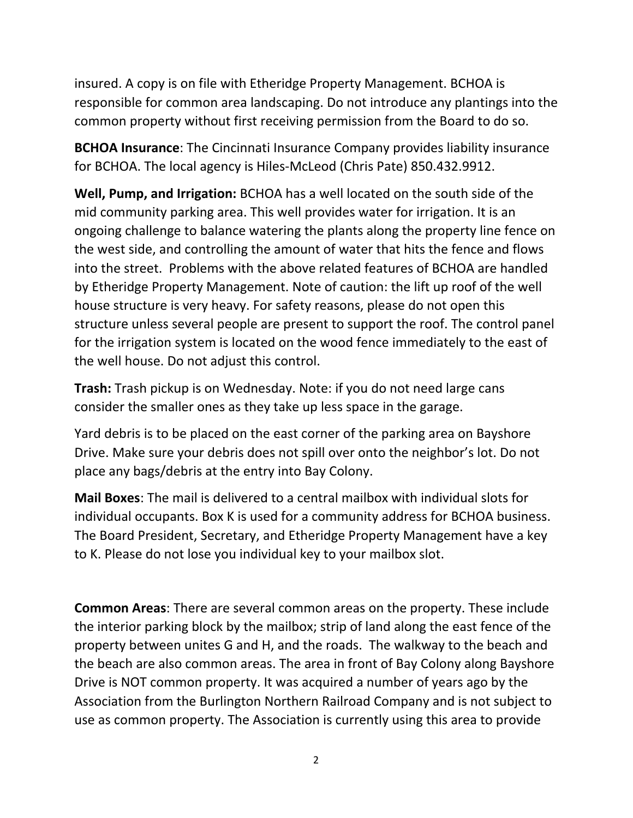insured. A copy is on file with Etheridge Property Management. BCHOA is responsible for common area landscaping. Do not introduce any plantings into the common property without first receiving permission from the Board to do so.

**BCHOA Insurance**: The Cincinnati Insurance Company provides liability insurance for BCHOA. The local agency is Hiles-McLeod (Chris Pate) 850.432.9912.

**Well, Pump, and Irrigation:** BCHOA has a well located on the south side of the mid community parking area. This well provides water for irrigation. It is an ongoing challenge to balance watering the plants along the property line fence on the west side, and controlling the amount of water that hits the fence and flows into the street. Problems with the above related features of BCHOA are handled by Etheridge Property Management. Note of caution: the lift up roof of the well house structure is very heavy. For safety reasons, please do not open this structure unless several people are present to support the roof. The control panel for the irrigation system is located on the wood fence immediately to the east of the well house. Do not adjust this control.

**Trash:** Trash pickup is on Wednesday. Note: if you do not need large cans consider the smaller ones as they take up less space in the garage.

Yard debris is to be placed on the east corner of the parking area on Bayshore Drive. Make sure your debris does not spill over onto the neighbor's lot. Do not place any bags/debris at the entry into Bay Colony.

**Mail Boxes**: The mail is delivered to a central mailbox with individual slots for individual occupants. Box K is used for a community address for BCHOA business. The Board President, Secretary, and Etheridge Property Management have a key to K. Please do not lose you individual key to your mailbox slot.

**Common Areas**: There are several common areas on the property. These include the interior parking block by the mailbox; strip of land along the east fence of the property between unites G and H, and the roads. The walkway to the beach and the beach are also common areas. The area in front of Bay Colony along Bayshore Drive is NOT common property. It was acquired a number of years ago by the Association from the Burlington Northern Railroad Company and is not subject to use as common property. The Association is currently using this area to provide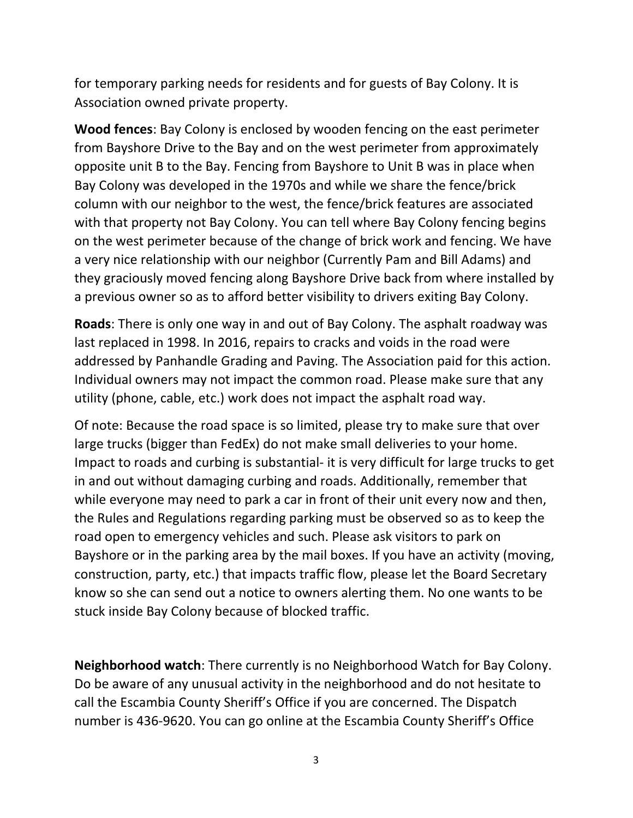for temporary parking needs for residents and for guests of Bay Colony. It is Association owned private property.

**Wood fences**: Bay Colony is enclosed by wooden fencing on the east perimeter from Bayshore Drive to the Bay and on the west perimeter from approximately opposite unit B to the Bay. Fencing from Bayshore to Unit B was in place when Bay Colony was developed in the 1970s and while we share the fence/brick column with our neighbor to the west, the fence/brick features are associated with that property not Bay Colony. You can tell where Bay Colony fencing begins on the west perimeter because of the change of brick work and fencing. We have a very nice relationship with our neighbor (Currently Pam and Bill Adams) and they graciously moved fencing along Bayshore Drive back from where installed by a previous owner so as to afford better visibility to drivers exiting Bay Colony.

**Roads**: There is only one way in and out of Bay Colony. The asphalt roadway was last replaced in 1998. In 2016, repairs to cracks and voids in the road were addressed by Panhandle Grading and Paving. The Association paid for this action. Individual owners may not impact the common road. Please make sure that any utility (phone, cable, etc.) work does not impact the asphalt road way.

Of note: Because the road space is so limited, please try to make sure that over large trucks (bigger than FedEx) do not make small deliveries to your home. Impact to roads and curbing is substantial- it is very difficult for large trucks to get in and out without damaging curbing and roads. Additionally, remember that while everyone may need to park a car in front of their unit every now and then, the Rules and Regulations regarding parking must be observed so as to keep the road open to emergency vehicles and such. Please ask visitors to park on Bayshore or in the parking area by the mail boxes. If you have an activity (moving, construction, party, etc.) that impacts traffic flow, please let the Board Secretary know so she can send out a notice to owners alerting them. No one wants to be stuck inside Bay Colony because of blocked traffic.

**Neighborhood watch**: There currently is no Neighborhood Watch for Bay Colony. Do be aware of any unusual activity in the neighborhood and do not hesitate to call the Escambia County Sheriff's Office if you are concerned. The Dispatch number is 436-9620. You can go online at the Escambia County Sheriff's Office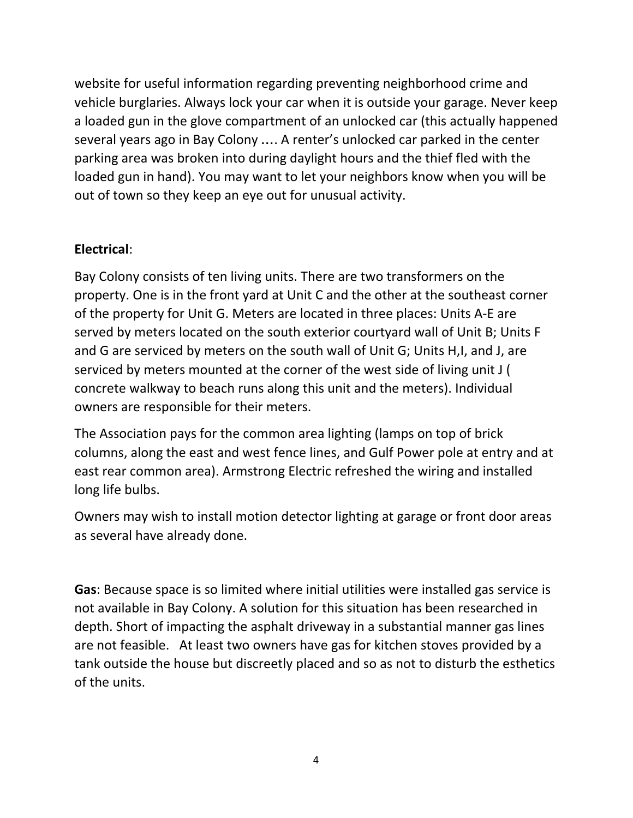website for useful information regarding preventing neighborhood crime and vehicle burglaries. Always lock your car when it is outside your garage. Never keep a loaded gun in the glove compartment of an unlocked car (this actually happened several years ago in Bay Colony …. A renter's unlocked car parked in the center parking area was broken into during daylight hours and the thief fled with the loaded gun in hand). You may want to let your neighbors know when you will be out of town so they keep an eye out for unusual activity.

## **Electrical**:

Bay Colony consists of ten living units. There are two transformers on the property. One is in the front yard at Unit C and the other at the southeast corner of the property for Unit G. Meters are located in three places: Units A-E are served by meters located on the south exterior courtyard wall of Unit B; Units F and G are serviced by meters on the south wall of Unit G; Units H,I, and J, are serviced by meters mounted at the corner of the west side of living unit J ( concrete walkway to beach runs along this unit and the meters). Individual owners are responsible for their meters.

The Association pays for the common area lighting (lamps on top of brick columns, along the east and west fence lines, and Gulf Power pole at entry and at east rear common area). Armstrong Electric refreshed the wiring and installed long life bulbs.

Owners may wish to install motion detector lighting at garage or front door areas as several have already done.

**Gas**: Because space is so limited where initial utilities were installed gas service is not available in Bay Colony. A solution for this situation has been researched in depth. Short of impacting the asphalt driveway in a substantial manner gas lines are not feasible. At least two owners have gas for kitchen stoves provided by a tank outside the house but discreetly placed and so as not to disturb the esthetics of the units.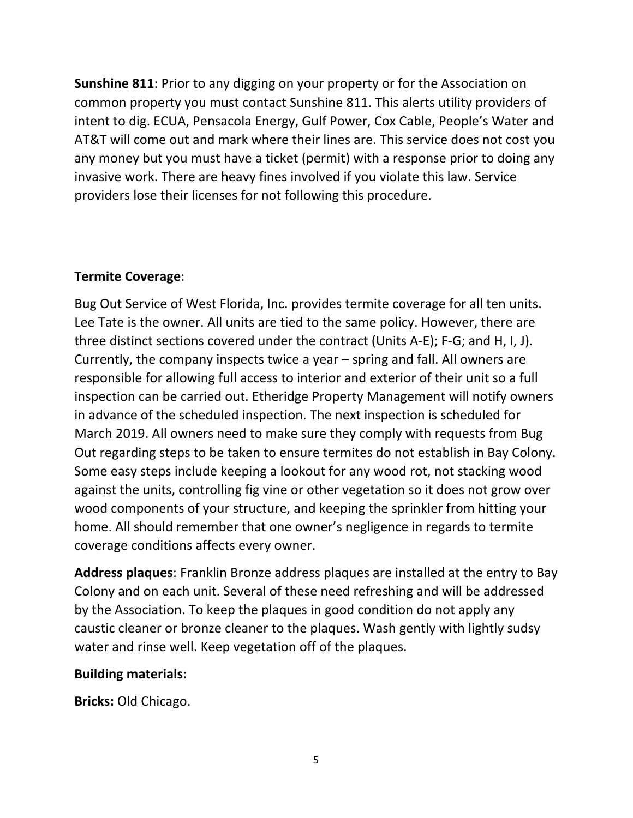**Sunshine 811**: Prior to any digging on your property or for the Association on common property you must contact Sunshine 811. This alerts utility providers of intent to dig. ECUA, Pensacola Energy, Gulf Power, Cox Cable, People's Water and AT&T will come out and mark where their lines are. This service does not cost you any money but you must have a ticket (permit) with a response prior to doing any invasive work. There are heavy fines involved if you violate this law. Service providers lose their licenses for not following this procedure.

### **Termite Coverage**:

Bug Out Service of West Florida, Inc. provides termite coverage for all ten units. Lee Tate is the owner. All units are tied to the same policy. However, there are three distinct sections covered under the contract (Units A-E); F-G; and H, I, J). Currently, the company inspects twice a year – spring and fall. All owners are responsible for allowing full access to interior and exterior of their unit so a full inspection can be carried out. Etheridge Property Management will notify owners in advance of the scheduled inspection. The next inspection is scheduled for March 2019. All owners need to make sure they comply with requests from Bug Out regarding steps to be taken to ensure termites do not establish in Bay Colony. Some easy steps include keeping a lookout for any wood rot, not stacking wood against the units, controlling fig vine or other vegetation so it does not grow over wood components of your structure, and keeping the sprinkler from hitting your home. All should remember that one owner's negligence in regards to termite coverage conditions affects every owner.

**Address plaques**: Franklin Bronze address plaques are installed at the entry to Bay Colony and on each unit. Several of these need refreshing and will be addressed by the Association. To keep the plaques in good condition do not apply any caustic cleaner or bronze cleaner to the plaques. Wash gently with lightly sudsy water and rinse well. Keep vegetation off of the plaques.

### **Building materials:**

**Bricks:** Old Chicago.